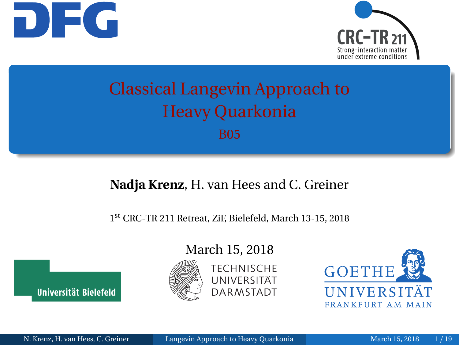<span id="page-0-0"></span>



## Classical Langevin Approach to Heavy Quarkonia B05

#### **Nadja Krenz**, H. van Hees and C. Greiner

1 st CRC-TR 211 Retreat, ZiF, Bielefeld, March 13-15, 2018



#### March 15, 2018





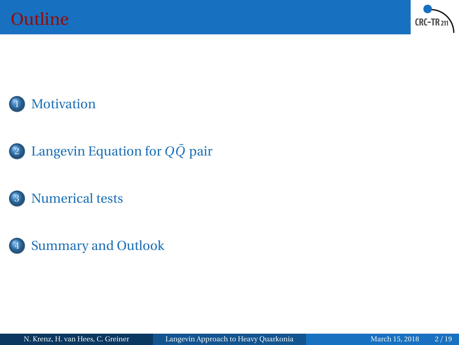



- <sup>2</sup> [Langevin Equation for](#page-3-0) *QQ*¯ pair
	- [Numerical tests](#page-6-0)
- 4 [Summary and Outlook](#page-14-0)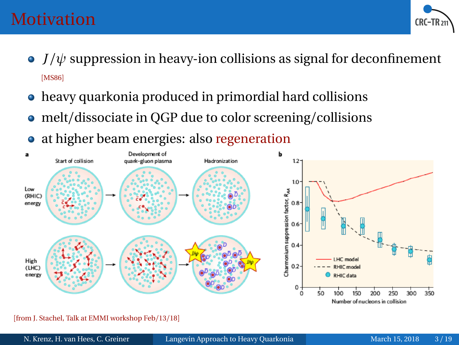

- <span id="page-2-0"></span> $\bullet$  *J*/ $\psi$  suppression in heavy-ion collisions as signal for deconfinement [[MS86](#page-18-0)]
- heavy quarkonia produced in primordial hard collisions
- melt/dissociate in QGP due to color screening/collisions
- at higher beam energies: also regeneration



[from J. Stachel, Talk at EMMI workshop Feb/13/18]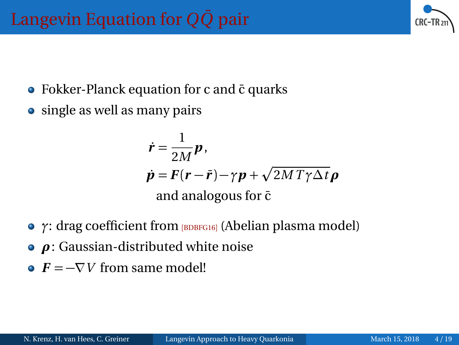- <span id="page-3-0"></span>• Fokker-Planck equation for c and  $\bar{c}$  quarks
- single as well as many pairs

$$
\dot{\mathbf{r}} = \frac{1}{2M} \mathbf{p},
$$
\n
$$
\dot{\mathbf{p}} = \mathbf{F}(\mathbf{r} - \bar{\mathbf{r}}) - \gamma \mathbf{p} + \sqrt{2MT\gamma \Delta t} \mathbf{p}
$$
\nand analogous for  $\bar{c}$ 

- **•** *γ*: drag coefficient from **[[BDBFG16](#page-18-1)]** (Abelian plasma model)
- *ρ*: Gaussian-distributed white noise
- $\bullet$   $\vec{F} = -\nabla V$  from same model!

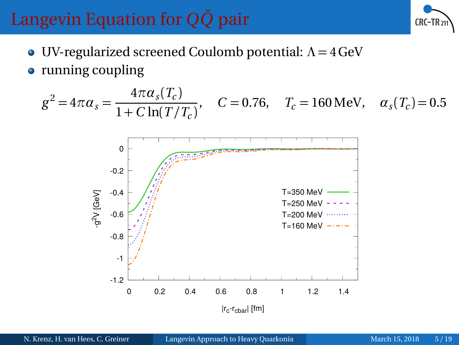

UV-regularized screened Coulomb potential: *Λ* = 4GeV • running coupling

$$
g^2 = 4\pi \alpha_s = \frac{4\pi \alpha_s (T_c)}{1 + C \ln(T/T_c)},
$$
  $C = 0.76,$   $T_c = 160 \text{ MeV},$   $\alpha_s (T_c) = 0.5$ 

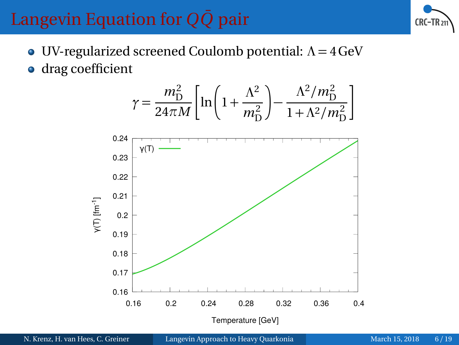

- UV-regularized screened Coulomb potential: *Λ* = 4GeV
- drag coefficient

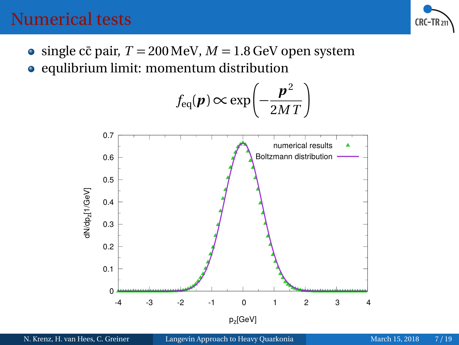

- <span id="page-6-0"></span>• single cc pair,  $T = 200 \,\text{MeV}$ ,  $M = 1.8 \,\text{GeV}$  open system
- equlibrium limit: momentum distribution

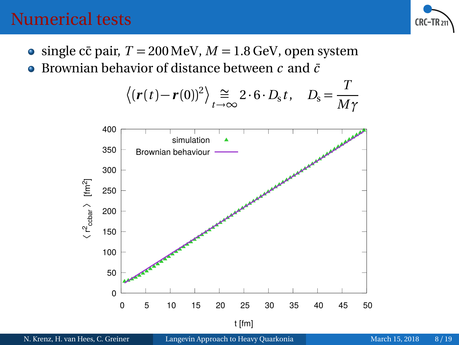

- single cc pair,  $T = 200 \,\text{MeV}$ ,  $M = 1.8 \,\text{GeV}$ , open system
- Brownian behavior of distance between *c* and *c*¯  $\bullet$

$$
\langle (\mathbf{r}(t)-\mathbf{r}(0))^2 \rangle \underset{t\to\infty}{\cong} 2 \cdot 6 \cdot D_{\rm s} t, \quad D_{\rm s} = \frac{T}{M\gamma}
$$

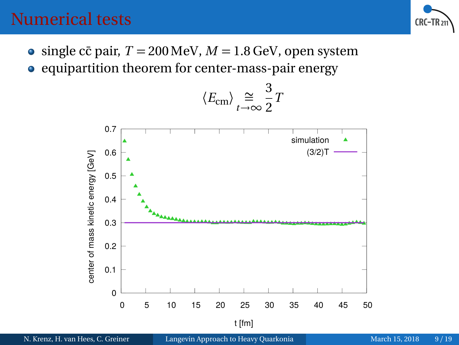

 $\bullet$  single cc pair,  $T = 200 \,\text{MeV}$ ,  $M = 1.8 \,\text{GeV}$ , open system  $\bullet$  equipartition theorem for center-mass-pair energy

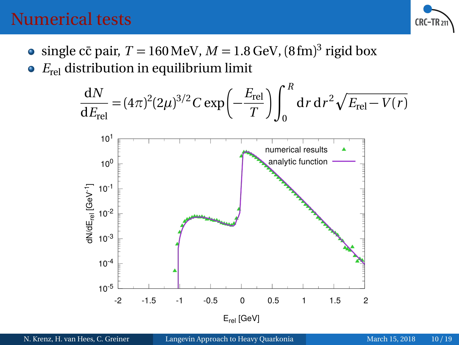

- single cc̄ pair,  $T = 160 \,\mathrm{MeV}$ ,  $M = 1.8 \,\mathrm{GeV}$ ,  $(8 \,\mathrm{fm})^3$  rigid box
- *E*rel distribution in equilibrium limit

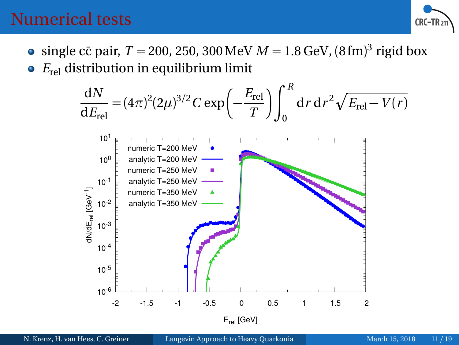

- $\frac{\text{single c\bar{c}}}{\text{pair, } T} = 200, 250, 300 \,\text{MeV} \, M = 1.8 \,\text{GeV}, \, (8 \,\text{fm})^3 \,\text{rigid box}$
- *E*rel distribution in equilibrium limit

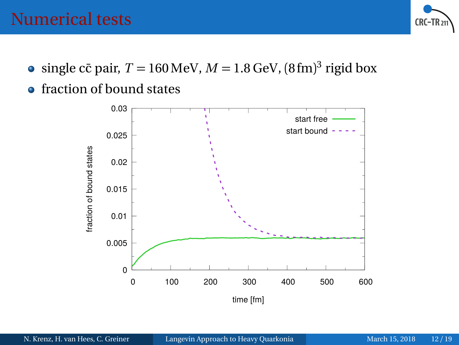

- single cc̄ pair,  $T = 160 \,\mathrm{MeV}$ ,  $M = 1.8 \,\mathrm{GeV}$ ,  $(8 \,\mathrm{fm})^3$  rigid box
- **•** fraction of bound states

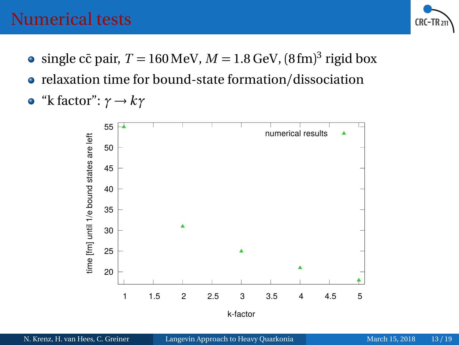

- single cc̄ pair,  $T = 160 \,\mathrm{MeV}$ ,  $M = 1.8 \,\mathrm{GeV}$ ,  $(8 \,\mathrm{fm})^3$  rigid box
- relaxation time for bound-state formation/dissociation

• "k factor": 
$$
\gamma \rightarrow k\gamma
$$

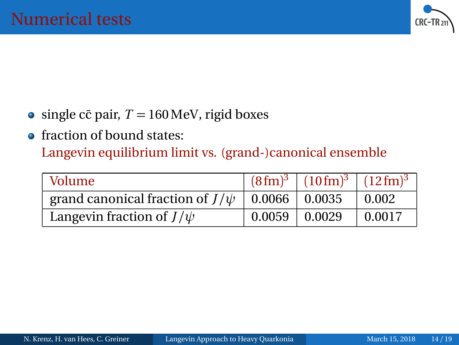

- $\bullet$  single cc pair,  $T = 160 \,\text{MeV}$ , rigid boxes
- fraction of bound states:

Langevin equilibrium limit vs. (grand-)canonical ensemble

| Volume:                                                |                   | $(8 \text{ fm})^3$   $(10 \text{ fm})^3$   $(12 \text{ fm})^3$ |                  |
|--------------------------------------------------------|-------------------|----------------------------------------------------------------|------------------|
| grand canonical fraction of $J/\psi$   0.0066   0.0035 |                   |                                                                | $^{\circ}$ 0.002 |
| Langevin fraction of $J/\psi$                          | $0.0059$   0.0029 |                                                                | $\pm 0.0017$     |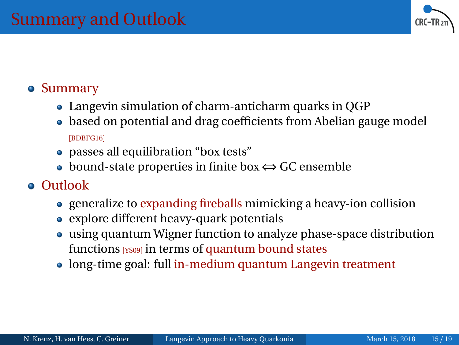

#### <span id="page-14-0"></span>**•** Summary

- Langevin simulation of charm-anticharm quarks in QGP
- based on potential and drag coefficients from Abelian gauge model [[BDBFG16](#page-18-1)]
- passes all equilibration "box tests"
- bound-state properties in finite box ⇔ GC ensemble

#### Outlook

- generalize to expanding fireballs mimicking a heavy-ion collision
- explore different heavy-quark potentials
- using quantum Wigner function to analyze phase-space distribution functions [[YS09](#page-18-2)] in terms of quantum bound states
- long-time goal: full in-medium quantum Langevin treatment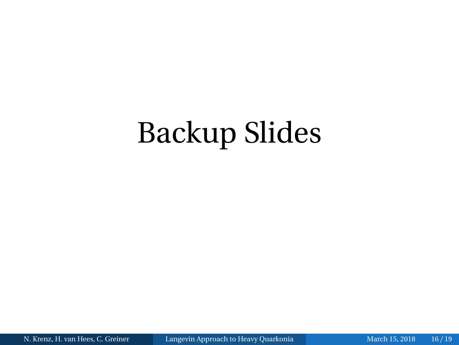# Backup Slides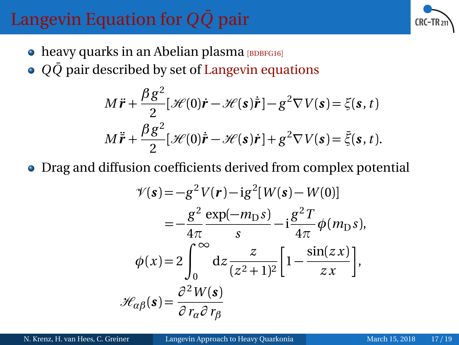

- $\bullet$  heavy quarks in an Abelian plasma  $\beta$ [BDBFG16](#page-18-1)]
- *QQ* pair described by set of Langevin equations

$$
M\ddot{\mathbf{r}} + \frac{\beta g^2}{2} [\mathcal{H}(0)\dot{\mathbf{r}} - \mathcal{H}(\mathbf{s})\dot{\mathbf{r}}] - g^2 \nabla V(\mathbf{s}) = \xi(\mathbf{s}, t)
$$
  

$$
M\ddot{\mathbf{r}} + \frac{\beta g^2}{2} [\mathcal{H}(0)\dot{\mathbf{r}} - \mathcal{H}(\mathbf{s})\dot{\mathbf{r}}] + g^2 \nabla V(\mathbf{s}) = \bar{\xi}(\mathbf{s}, t).
$$

Drag and diffusion coefficients derived from complex potential

$$
\mathcal{V}(\mathbf{s}) = -g^2 V(\mathbf{r}) - ig^2 [W(\mathbf{s}) - W(0)]
$$
  
\n
$$
= -\frac{g^2}{4\pi} \frac{\exp(-m_D s)}{s} - ig^2 \frac{g^2 T}{4\pi} \phi(m_D s),
$$
  
\n
$$
\phi(x) = 2 \int_0^\infty dz \frac{z}{(z^2 + 1)^2} \left[ 1 - \frac{\sin(z x)}{z x} \right],
$$
  
\n
$$
\mathcal{H}_{\alpha\beta}(\mathbf{s}) = \frac{\partial^2 W(\mathbf{s})}{\partial r_\alpha \partial r_\beta}
$$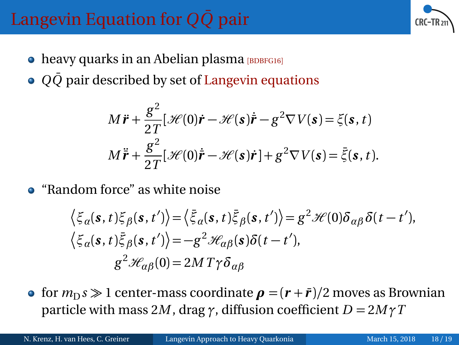- $\bullet$  heavy quarks in an Abelian plasma  $\beta$ [BDBFG16](#page-18-1)]
- *QQ* pair described by set of Langevin equations

$$
M\ddot{\mathbf{r}} + \frac{g^2}{2T} [\mathcal{H}(0)\dot{\mathbf{r}} - \mathcal{H}(\mathbf{s})\dot{\mathbf{r}} - g^2 \nabla V(\mathbf{s}) = \xi(\mathbf{s}, t)
$$
  

$$
M\ddot{\mathbf{r}} + \frac{g^2}{2T} [\mathcal{H}(0)\dot{\mathbf{r}} - \mathcal{H}(\mathbf{s})\dot{\mathbf{r}}] + g^2 \nabla V(\mathbf{s}) = \bar{\xi}(\mathbf{s}, t).
$$

"Random force" as white noise

$$
\langle \xi_{\alpha}(\mathbf{s}, t) \xi_{\beta}(\mathbf{s}, t') \rangle = \langle \bar{\xi}_{\alpha}(\mathbf{s}, t) \bar{\xi}_{\beta}(\mathbf{s}, t') \rangle = g^2 \mathcal{H}(0) \delta_{\alpha\beta} \delta(t - t'),
$$
  

$$
\langle \xi_{\alpha}(\mathbf{s}, t) \bar{\xi}_{\beta}(\mathbf{s}, t') \rangle = -g^2 \mathcal{H}_{\alpha\beta}(\mathbf{s}) \delta(t - t'),
$$
  

$$
g^2 \mathcal{H}_{\alpha\beta}(0) = 2MT\gamma \delta_{\alpha\beta}
$$

**o** for  $m<sub>D</sub>$ *s*  $\gg$  1 center-mass coordinate  $\rho = (r + \bar{r})/2$  moves as Brownian particle with mass 2*M*, drag  $\gamma$ , diffusion coefficient  $D = 2M\gamma T$